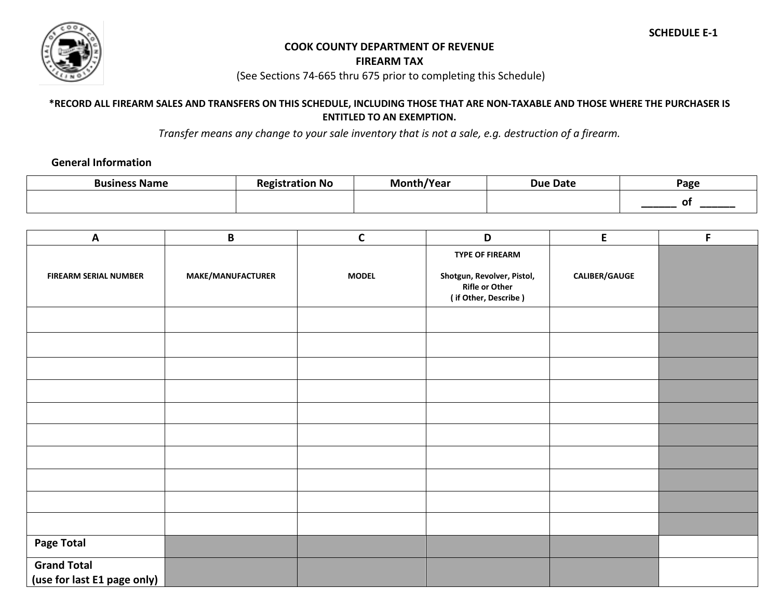

## **COOK COUNTY DEPARTMENT OF REVENUE**

**FIREARM TAX** 

(See Sections 74-665 thru 675 prior to completing this Schedule)

**\*RECORD ALL FIREARM SALES AND TRANSFERS ON THIS SCHEDULE, INCLUDING THOSE THAT ARE NON-TAXABLE AND THOSE WHERE THE PURCHASER IS ENTITLED TO AN EXEMPTION.**

*Transfer means any change to your sale inventory that is not a sale, e.g. destruction of a firearm.*

## **General Information**

| <b>Business Name</b> | <b>Registration No</b> | Month/Year | <b>Due Date</b> | Page |
|----------------------|------------------------|------------|-----------------|------|
|                      |                        |            |                 |      |

| $\boldsymbol{\mathsf{A}}$                         | B                 | $\mathsf C$  | D                                                                           | E                    | F |
|---------------------------------------------------|-------------------|--------------|-----------------------------------------------------------------------------|----------------------|---|
|                                                   |                   |              | <b>TYPE OF FIREARM</b>                                                      |                      |   |
| <b>FIREARM SERIAL NUMBER</b>                      | MAKE/MANUFACTURER | <b>MODEL</b> | Shotgun, Revolver, Pistol,<br><b>Rifle or Other</b><br>(if Other, Describe) | <b>CALIBER/GAUGE</b> |   |
|                                                   |                   |              |                                                                             |                      |   |
|                                                   |                   |              |                                                                             |                      |   |
|                                                   |                   |              |                                                                             |                      |   |
|                                                   |                   |              |                                                                             |                      |   |
|                                                   |                   |              |                                                                             |                      |   |
|                                                   |                   |              |                                                                             |                      |   |
|                                                   |                   |              |                                                                             |                      |   |
|                                                   |                   |              |                                                                             |                      |   |
|                                                   |                   |              |                                                                             |                      |   |
|                                                   |                   |              |                                                                             |                      |   |
| <b>Page Total</b>                                 |                   |              |                                                                             |                      |   |
| <b>Grand Total</b><br>(use for last E1 page only) |                   |              |                                                                             |                      |   |